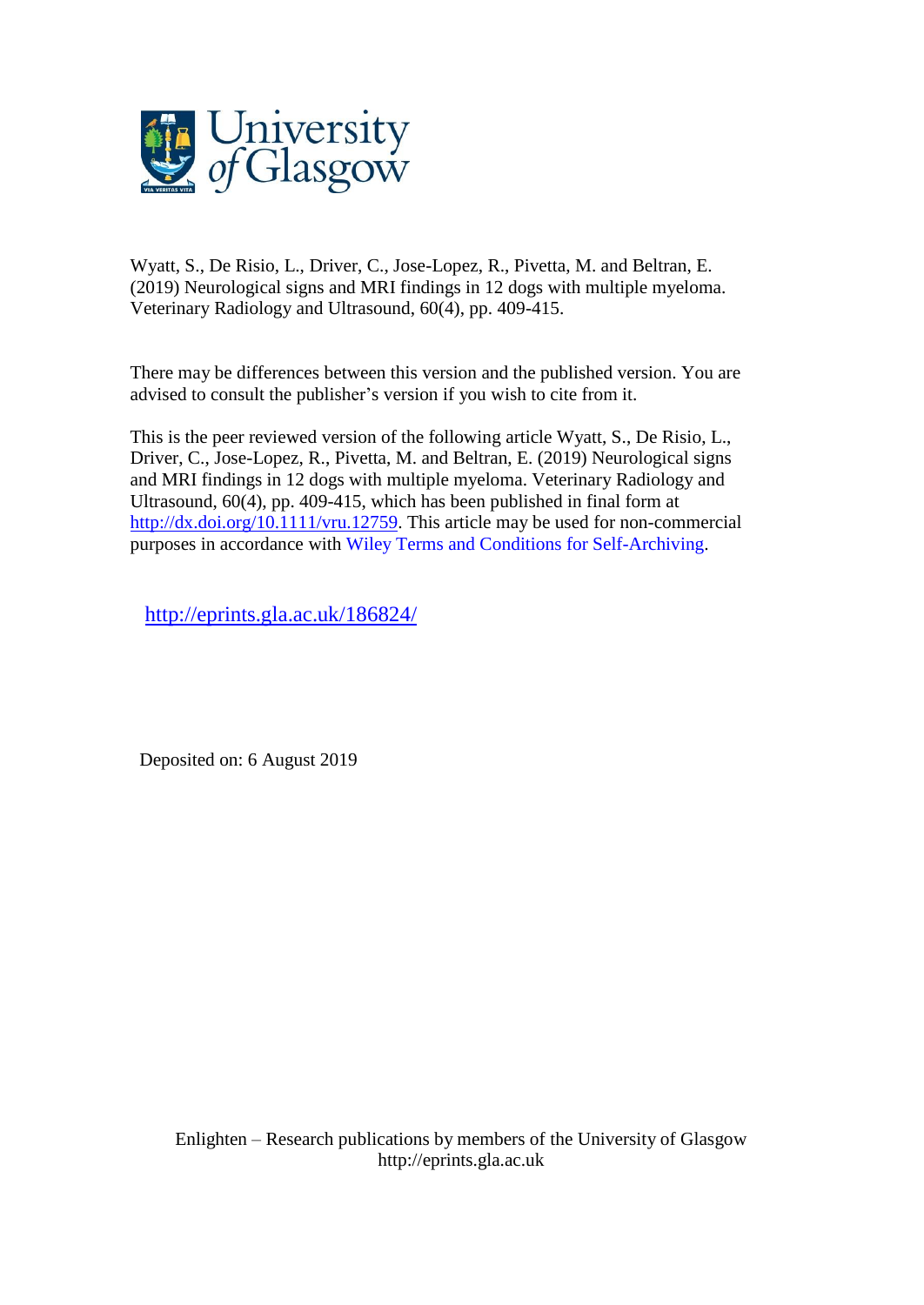

Wyatt, S., De Risio, L., Driver, C., Jose-Lopez, R., Pivetta, M. and Beltran, E. (2019) Neurological signs and MRI findings in 12 dogs with multiple myeloma. Veterinary Radiology and Ultrasound, 60(4), pp. 409-415.

There may be differences between this version and the published version. You are advised to consult the publisher's version if you wish to cite from it.

This is the peer reviewed version of the following article Wyatt, S., De Risio, L., Driver, C., Jose-Lopez, R., Pivetta, M. and Beltran, E. (2019) Neurological signs and MRI findings in 12 dogs with multiple myeloma. Veterinary Radiology and Ultrasound, 60(4), pp. 409-415, which has been published in final form at [http://dx.doi.org/10.1111/vru.12759.](http://dx.doi.org/10.1111/vru.12759) This article may be used for non-commercial purposes in accordance with Wiley Terms and Conditions for [Self-Archiving.](http://olabout.wiley.com/WileyCDA/Section/id-828039.html#terms)

<http://eprints.gla.ac.uk/186824/>

Deposited on: 6 August 2019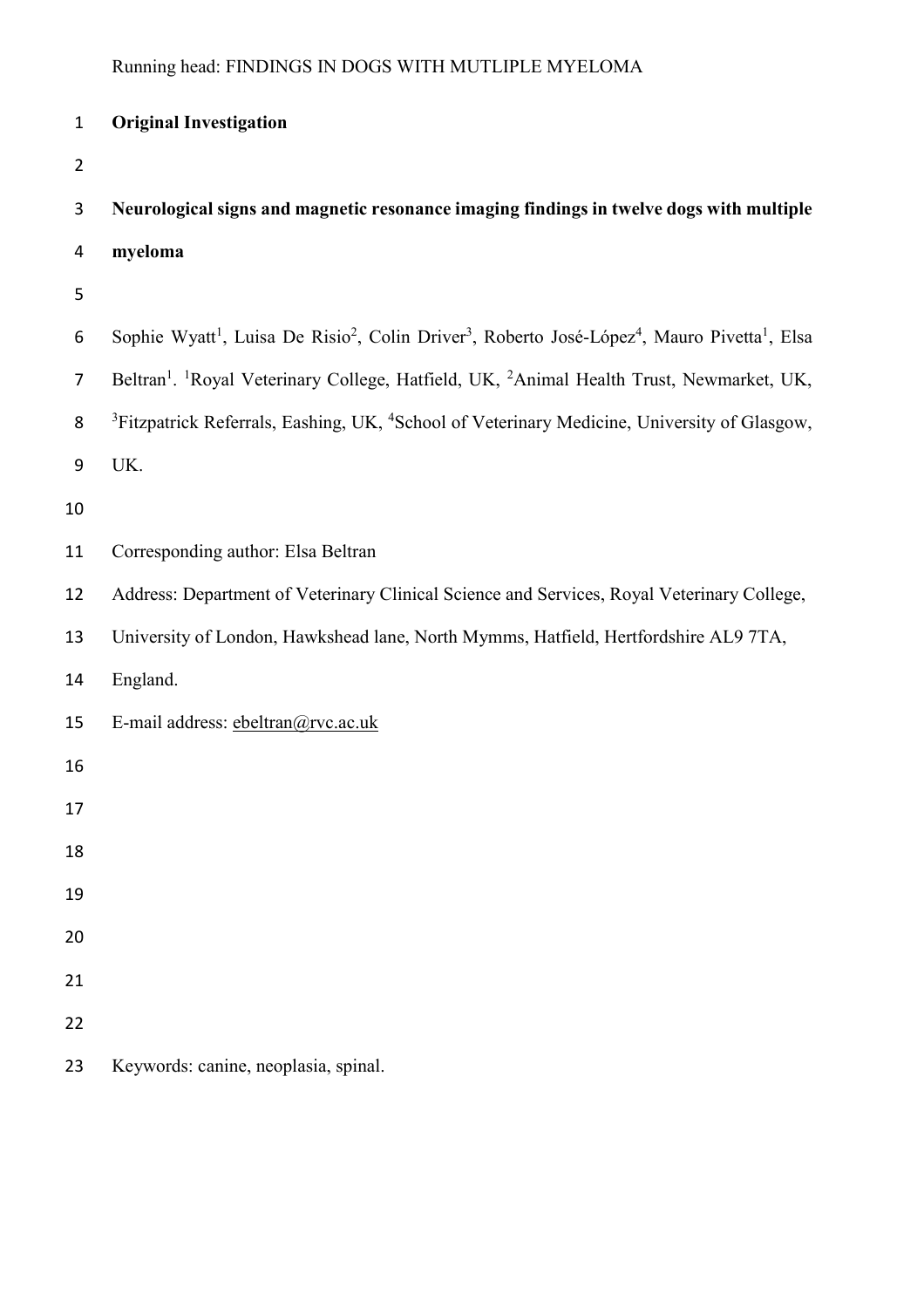| $\mathbf{1}$   | <b>Original Investigation</b>                                                                                                                             |
|----------------|-----------------------------------------------------------------------------------------------------------------------------------------------------------|
| $\overline{2}$ |                                                                                                                                                           |
| 3              | Neurological signs and magnetic resonance imaging findings in twelve dogs with multiple                                                                   |
| 4              | myeloma                                                                                                                                                   |
| 5              |                                                                                                                                                           |
| 6              | Sophie Wyatt <sup>1</sup> , Luisa De Risio <sup>2</sup> , Colin Driver <sup>3</sup> , Roberto José-López <sup>4</sup> , Mauro Pivetta <sup>1</sup> , Elsa |
| 7              | Beltran <sup>1</sup> . <sup>1</sup> Royal Veterinary College, Hatfield, UK, <sup>2</sup> Animal Health Trust, Newmarket, UK,                              |
| 8              | <sup>3</sup> Fitzpatrick Referrals, Eashing, UK, <sup>4</sup> School of Veterinary Medicine, University of Glasgow,                                       |
| 9              | UK.                                                                                                                                                       |
| 10             |                                                                                                                                                           |
| 11             | Corresponding author: Elsa Beltran                                                                                                                        |
| 12             | Address: Department of Veterinary Clinical Science and Services, Royal Veterinary College,                                                                |
| 13             | University of London, Hawkshead lane, North Mymms, Hatfield, Hertfordshire AL9 7TA,                                                                       |
| 14             | England.                                                                                                                                                  |
| 15             | E-mail address: ebeltran@rvc.ac.uk                                                                                                                        |
| 16             |                                                                                                                                                           |
| 17             |                                                                                                                                                           |
| 18             |                                                                                                                                                           |
| 19             |                                                                                                                                                           |
| 20             |                                                                                                                                                           |
| 21             |                                                                                                                                                           |
| 22             |                                                                                                                                                           |
| 23             | Keywords: canine, neoplasia, spinal.                                                                                                                      |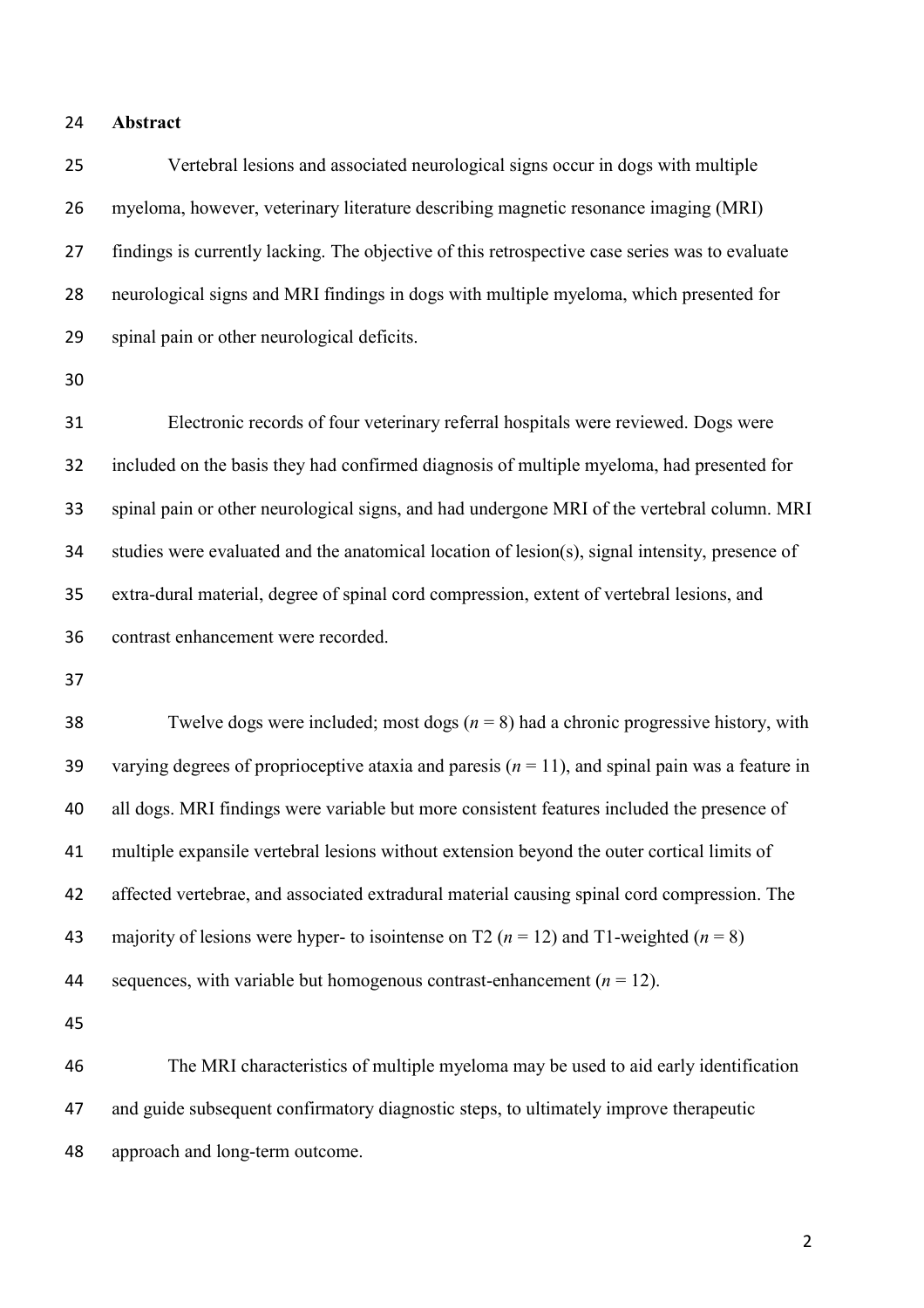#### **Abstract**

 Vertebral lesions and associated neurological signs occur in dogs with multiple myeloma, however, veterinary literature describing magnetic resonance imaging (MRI) findings is currently lacking. The objective of this retrospective case series was to evaluate neurological signs and MRI findings in dogs with multiple myeloma, which presented for spinal pain or other neurological deficits.

 Electronic records of four veterinary referral hospitals were reviewed. Dogs were included on the basis they had confirmed diagnosis of multiple myeloma, had presented for spinal pain or other neurological signs, and had undergone MRI of the vertebral column. MRI studies were evaluated and the anatomical location of lesion(s), signal intensity, presence of extra-dural material, degree of spinal cord compression, extent of vertebral lesions, and contrast enhancement were recorded.

38 Twelve dogs were included; most dogs  $(n = 8)$  had a chronic progressive history, with varying degrees of proprioceptive ataxia and paresis (*n* = 11), and spinal pain was a feature in all dogs. MRI findings were variable but more consistent features included the presence of multiple expansile vertebral lesions without extension beyond the outer cortical limits of affected vertebrae, and associated extradural material causing spinal cord compression. The 43 majority of lesions were hyper- to isointense on T2  $(n = 12)$  and T1-weighted  $(n = 8)$ 44 sequences, with variable but homogenous contrast-enhancement  $(n = 12)$ .

 The MRI characteristics of multiple myeloma may be used to aid early identification and guide subsequent confirmatory diagnostic steps, to ultimately improve therapeutic approach and long-term outcome.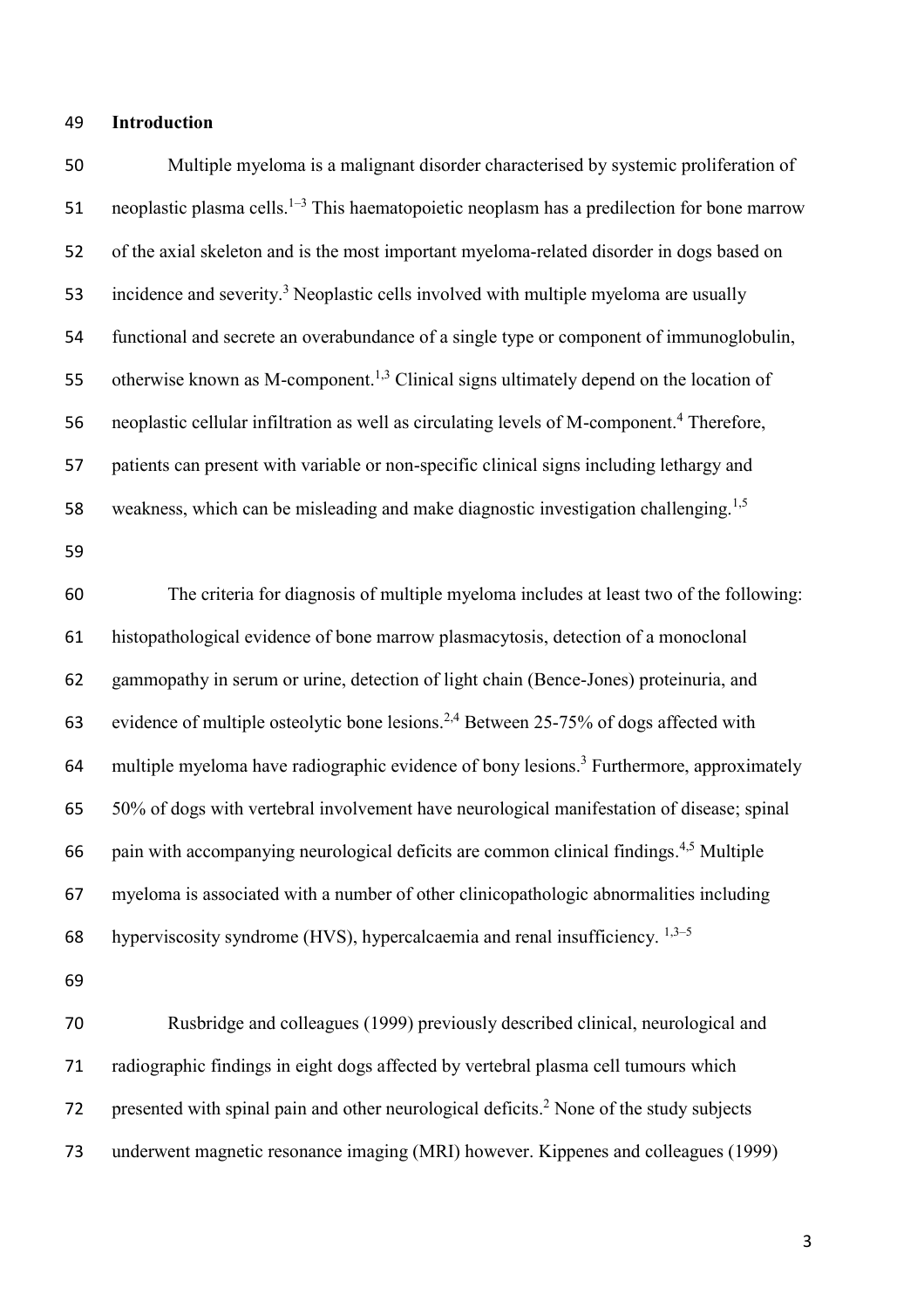## **Introduction**

 Multiple myeloma is a malignant disorder characterised by systemic proliferation of 51 neoplastic plasma cells.<sup>1–3</sup> This haematopoietic neoplasm has a predilection for bone marrow of the axial skeleton and is the most important myeloma-related disorder in dogs based on 53 incidence and severity.<sup>3</sup> Neoplastic cells involved with multiple myeloma are usually functional and secrete an overabundance of a single type or component of immunoglobulin, 55 otherwise known as M-component.<sup>1,3</sup> Clinical signs ultimately depend on the location of 56 neoplastic cellular infiltration as well as circulating levels of M-component.<sup>4</sup> Therefore, patients can present with variable or non-specific clinical signs including lethargy and 58 weakness, which can be misleading and make diagnostic investigation challenging.<sup>1,5</sup> The criteria for diagnosis of multiple myeloma includes at least two of the following: histopathological evidence of bone marrow plasmacytosis, detection of a monoclonal gammopathy in serum or urine, detection of light chain (Bence-Jones) proteinuria, and 63 evidence of multiple osteolytic bone lesions.<sup>2,4</sup> Between 25-75% of dogs affected with 64 multiple myeloma have radiographic evidence of bony lesions.<sup>3</sup> Furthermore, approximately 50% of dogs with vertebral involvement have neurological manifestation of disease; spinal 66 pain with accompanying neurological deficits are common clinical findings.  $4,5$  Multiple myeloma is associated with a number of other clinicopathologic abnormalities including 68 hyperviscosity syndrome (HVS), hypercalcaemia and renal insufficiency.  $1,3-5$  Rusbridge and colleagues (1999) previously described clinical, neurological and

 radiographic findings in eight dogs affected by vertebral plasma cell tumours which 72 presented with spinal pain and other neurological deficits.<sup>2</sup> None of the study subjects underwent magnetic resonance imaging (MRI) however. Kippenes and colleagues (1999)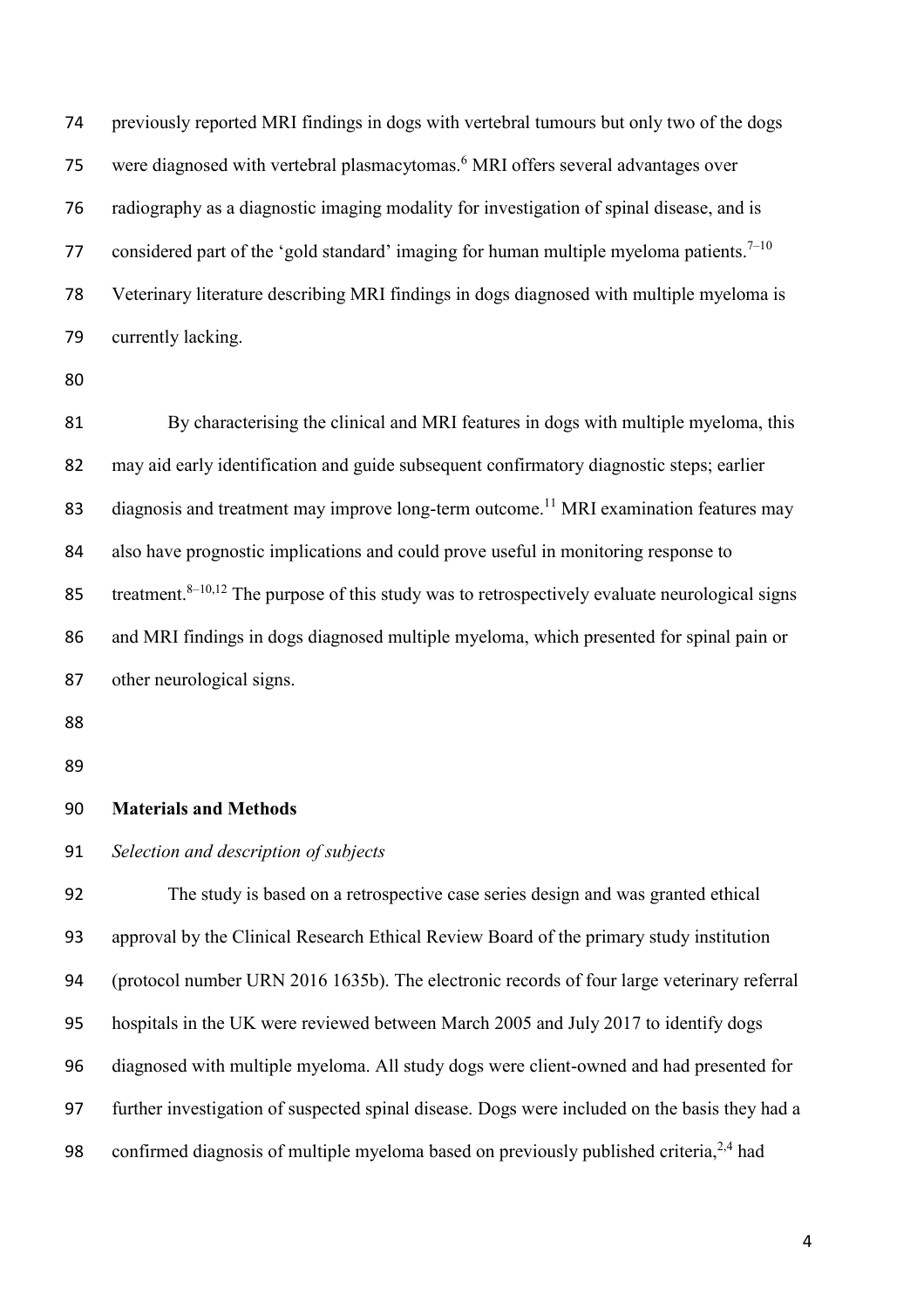previously reported MRI findings in dogs with vertebral tumours but only two of the dogs 75 were diagnosed with vertebral plasmacytomas.<sup>6</sup> MRI offers several advantages over radiography as a diagnostic imaging modality for investigation of spinal disease, and is 77 considered part of the 'gold standard' imaging for human multiple myeloma patients.<sup>7–10</sup> Veterinary literature describing MRI findings in dogs diagnosed with multiple myeloma is currently lacking.

 By characterising the clinical and MRI features in dogs with multiple myeloma, this may aid early identification and guide subsequent confirmatory diagnostic steps; earlier 83 diagnosis and treatment may improve long-term outcome.<sup>11</sup> MRI examination features may also have prognostic implications and could prove useful in monitoring response to 85 treatment.<sup>8–10,12</sup> The purpose of this study was to retrospectively evaluate neurological signs and MRI findings in dogs diagnosed multiple myeloma, which presented for spinal pain or other neurological signs.

# **Materials and Methods**

# *Selection and description of subjects*

 The study is based on a retrospective case series design and was granted ethical approval by the Clinical Research Ethical Review Board of the primary study institution (protocol number URN 2016 1635b). The electronic records of four large veterinary referral hospitals in the UK were reviewed between March 2005 and July 2017 to identify dogs diagnosed with multiple myeloma. All study dogs were client-owned and had presented for further investigation of suspected spinal disease. Dogs were included on the basis they had a 98 confirmed diagnosis of multiple myeloma based on previously published criteria,  $2,4$  had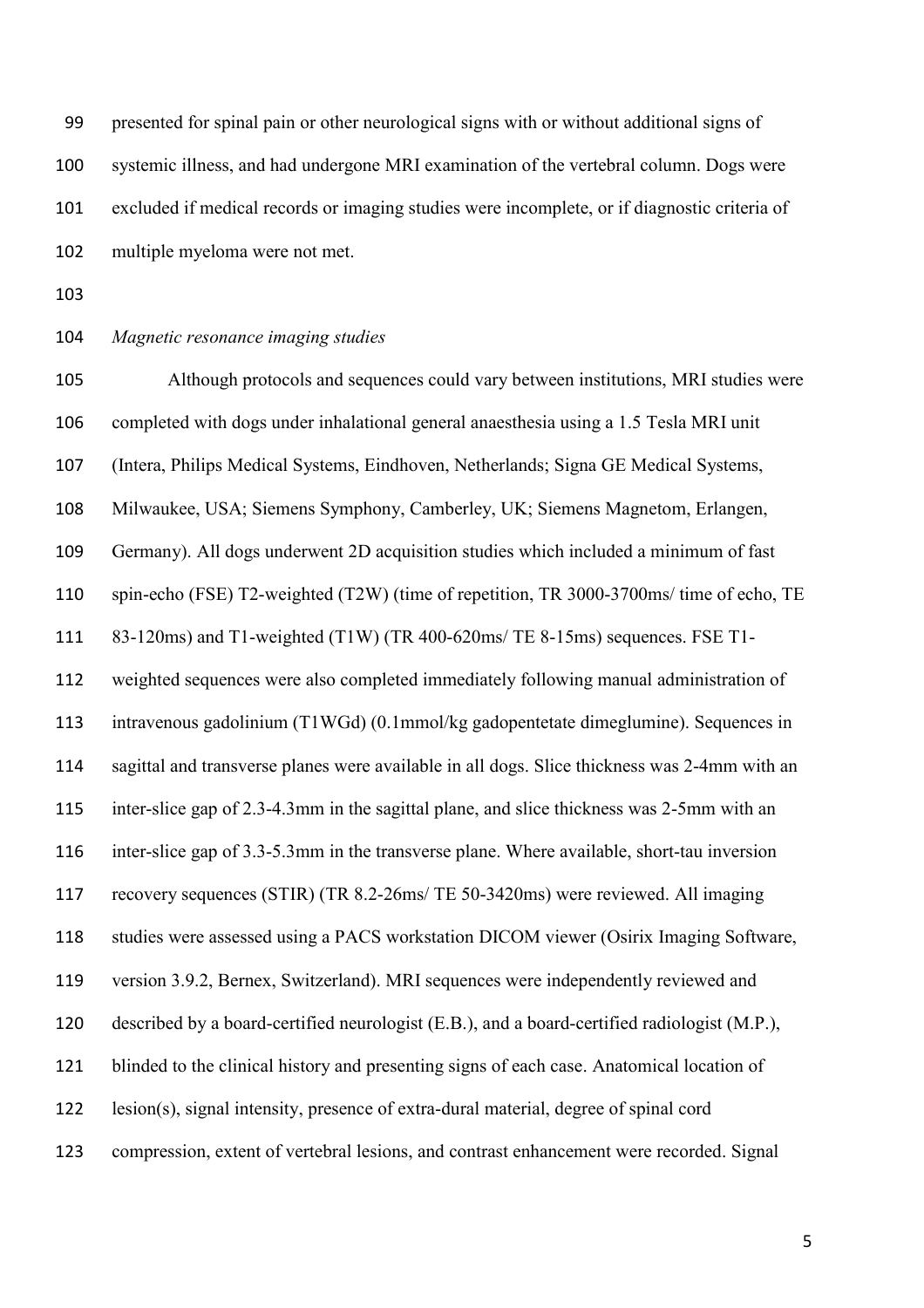presented for spinal pain or other neurological signs with or without additional signs of systemic illness, and had undergone MRI examination of the vertebral column. Dogs were excluded if medical records or imaging studies were incomplete, or if diagnostic criteria of multiple myeloma were not met.

- 
- *Magnetic resonance imaging studies*

 Although protocols and sequences could vary between institutions, MRI studies were completed with dogs under inhalational general anaesthesia using a 1.5 Tesla MRI unit (Intera, Philips Medical Systems, Eindhoven, Netherlands; Signa GE Medical Systems, Milwaukee, USA; Siemens Symphony, Camberley, UK; Siemens Magnetom, Erlangen, Germany). All dogs underwent 2D acquisition studies which included a minimum of fast spin-echo (FSE) T2-weighted (T2W) (time of repetition, TR 3000-3700ms/ time of echo, TE 83-120ms) and T1-weighted (T1W) (TR 400-620ms/ TE 8-15ms) sequences. FSE T1- weighted sequences were also completed immediately following manual administration of intravenous gadolinium (T1WGd) (0.1mmol/kg gadopentetate dimeglumine). Sequences in sagittal and transverse planes were available in all dogs. Slice thickness was 2-4mm with an inter-slice gap of 2.3-4.3mm in the sagittal plane, and slice thickness was 2-5mm with an inter-slice gap of 3.3-5.3mm in the transverse plane. Where available, short-tau inversion recovery sequences (STIR) (TR 8.2-26ms/ TE 50-3420ms) were reviewed. All imaging studies were assessed using a PACS workstation DICOM viewer (Osirix Imaging Software, version 3.9.2, Bernex, Switzerland). MRI sequences were independently reviewed and described by a board-certified neurologist (E.B.), and a board-certified radiologist (M.P.), blinded to the clinical history and presenting signs of each case. Anatomical location of lesion(s), signal intensity, presence of extra-dural material, degree of spinal cord compression, extent of vertebral lesions, and contrast enhancement were recorded. Signal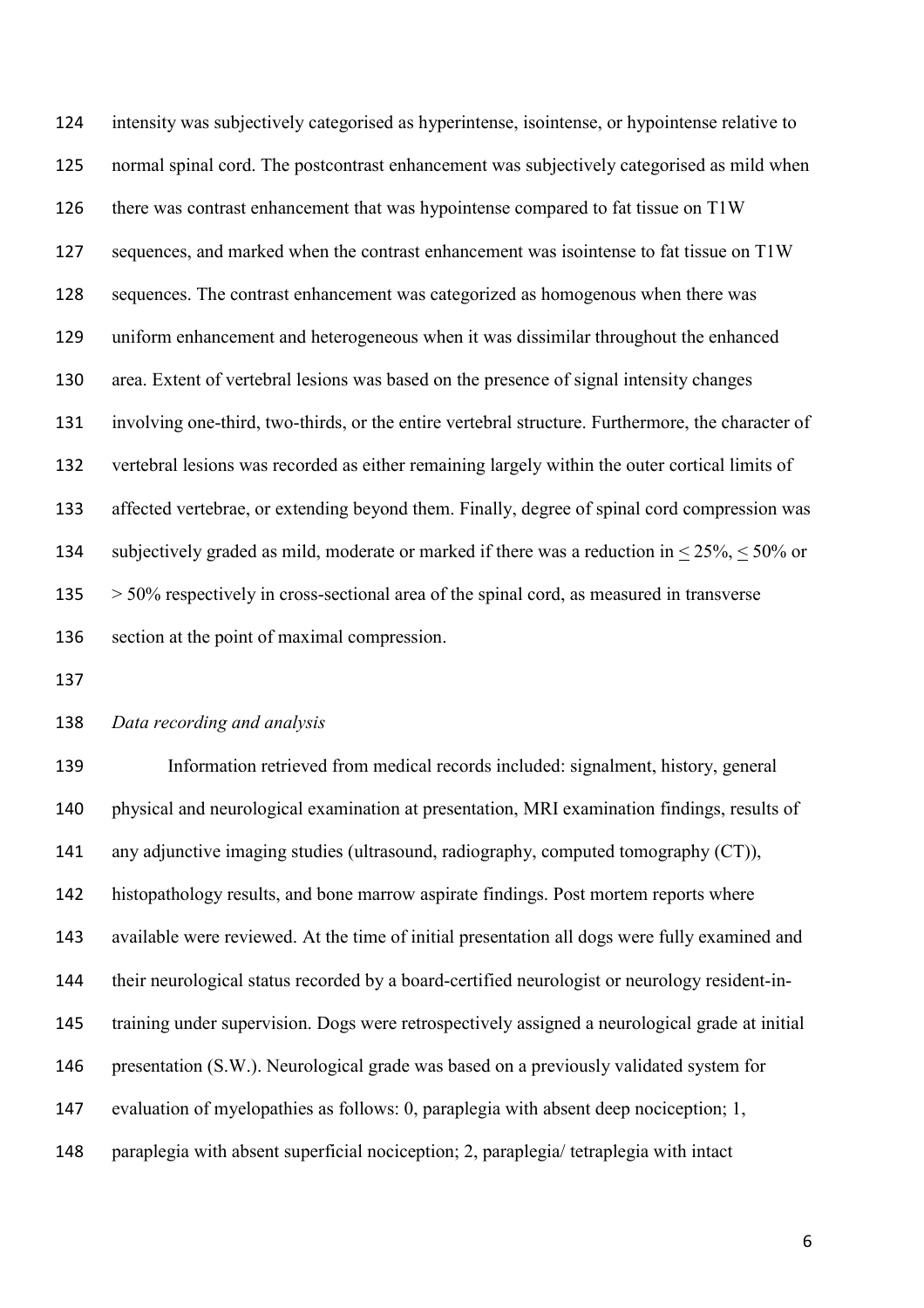intensity was subjectively categorised as hyperintense, isointense, or hypointense relative to normal spinal cord. The postcontrast enhancement was subjectively categorised as mild when there was contrast enhancement that was hypointense compared to fat tissue on T1W sequences, and marked when the contrast enhancement was isointense to fat tissue on T1W sequences. The contrast enhancement was categorized as homogenous when there was uniform enhancement and heterogeneous when it was dissimilar throughout the enhanced area. Extent of vertebral lesions was based on the presence of signal intensity changes involving one-third, two-thirds, or the entire vertebral structure. Furthermore, the character of vertebral lesions was recorded as either remaining largely within the outer cortical limits of affected vertebrae, or extending beyond them. Finally, degree of spinal cord compression was 134 subjectively graded as mild, moderate or marked if there was a reduction in  $\leq 25\%$ ,  $\leq 50\%$  or > 50% respectively in cross-sectional area of the spinal cord, as measured in transverse section at the point of maximal compression.

# *Data recording and analysis*

 Information retrieved from medical records included: signalment, history, general physical and neurological examination at presentation, MRI examination findings, results of any adjunctive imaging studies (ultrasound, radiography, computed tomography (CT)), histopathology results, and bone marrow aspirate findings. Post mortem reports where available were reviewed. At the time of initial presentation all dogs were fully examined and their neurological status recorded by a board-certified neurologist or neurology resident-in- training under supervision. Dogs were retrospectively assigned a neurological grade at initial presentation (S.W.). Neurological grade was based on a previously validated system for evaluation of myelopathies as follows: 0, paraplegia with absent deep nociception; 1, paraplegia with absent superficial nociception; 2, paraplegia/ tetraplegia with intact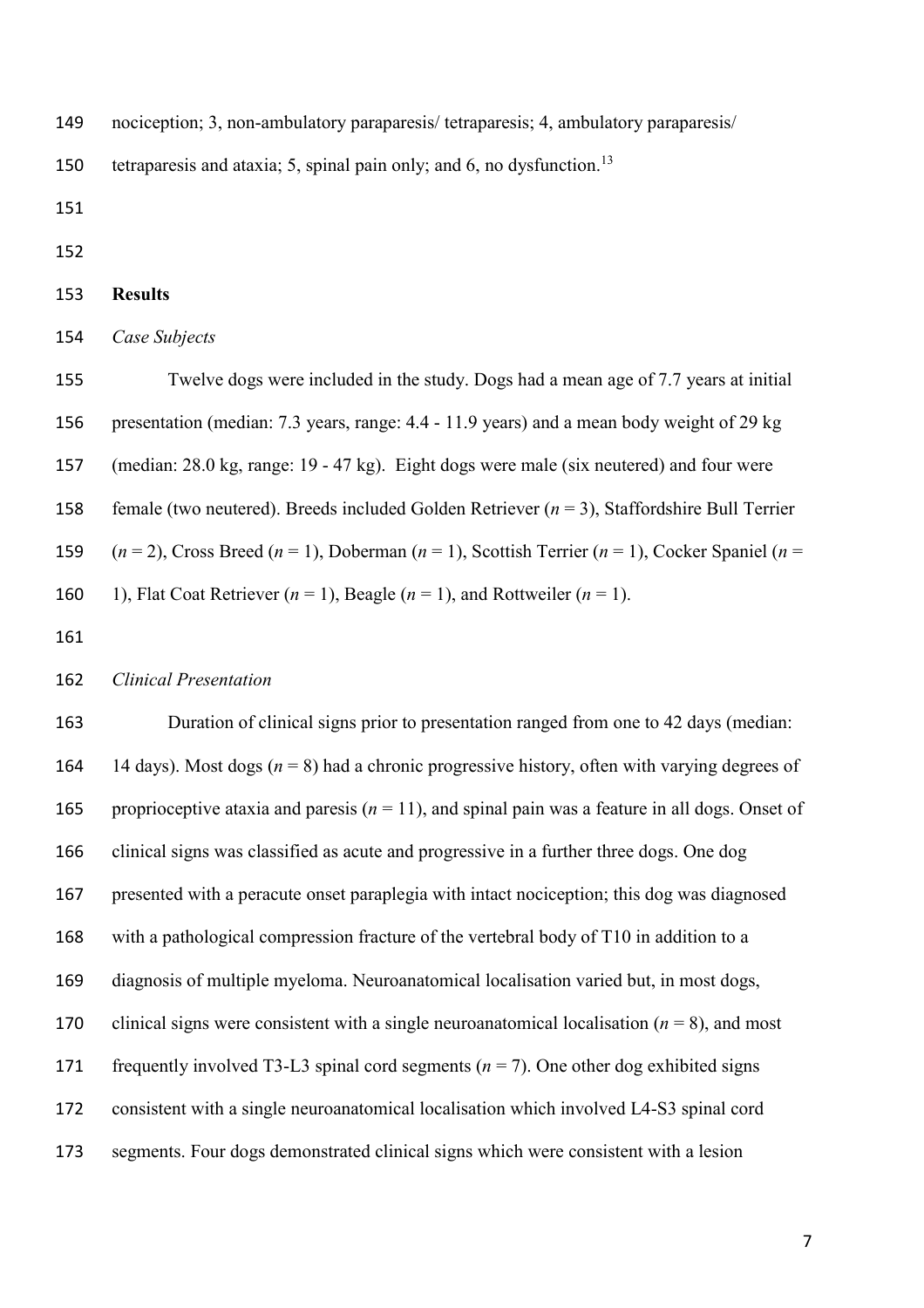nociception; 3, non-ambulatory paraparesis/ tetraparesis; 4, ambulatory paraparesis/

150 tetraparesis and ataxia; 5, spinal pain only; and 6, no dysfunction.<sup>13</sup>

- 
- 

#### **Results**

*Case Subjects* 

 Twelve dogs were included in the study. Dogs had a mean age of 7.7 years at initial presentation (median: 7.3 years, range: 4.4 - 11.9 years) and a mean body weight of 29 kg (median: 28.0 kg, range: 19 - 47 kg). Eight dogs were male (six neutered) and four were female (two neutered). Breeds included Golden Retriever (*n* = 3), Staffordshire Bull Terrier  $(n = 2)$ , Cross Breed  $(n = 1)$ , Doberman  $(n = 1)$ , Scottish Terrier  $(n = 1)$ , Cocker Spaniel  $(n = 1)$ 160 1), Flat Coat Retriever  $(n = 1)$ , Beagle  $(n = 1)$ , and Rottweiler  $(n = 1)$ .

## *Clinical Presentation*

 Duration of clinical signs prior to presentation ranged from one to 42 days (median: 164 14 days). Most dogs  $(n = 8)$  had a chronic progressive history, often with varying degrees of 165 proprioceptive ataxia and paresis  $(n = 11)$ , and spinal pain was a feature in all dogs. Onset of clinical signs was classified as acute and progressive in a further three dogs. One dog presented with a peracute onset paraplegia with intact nociception; this dog was diagnosed with a pathological compression fracture of the vertebral body of T10 in addition to a diagnosis of multiple myeloma. Neuroanatomical localisation varied but, in most dogs, 170 clinical signs were consistent with a single neuroanatomical localisation  $(n = 8)$ , and most 171 frequently involved T3-L3 spinal cord segments  $(n = 7)$ . One other dog exhibited signs consistent with a single neuroanatomical localisation which involved L4-S3 spinal cord segments. Four dogs demonstrated clinical signs which were consistent with a lesion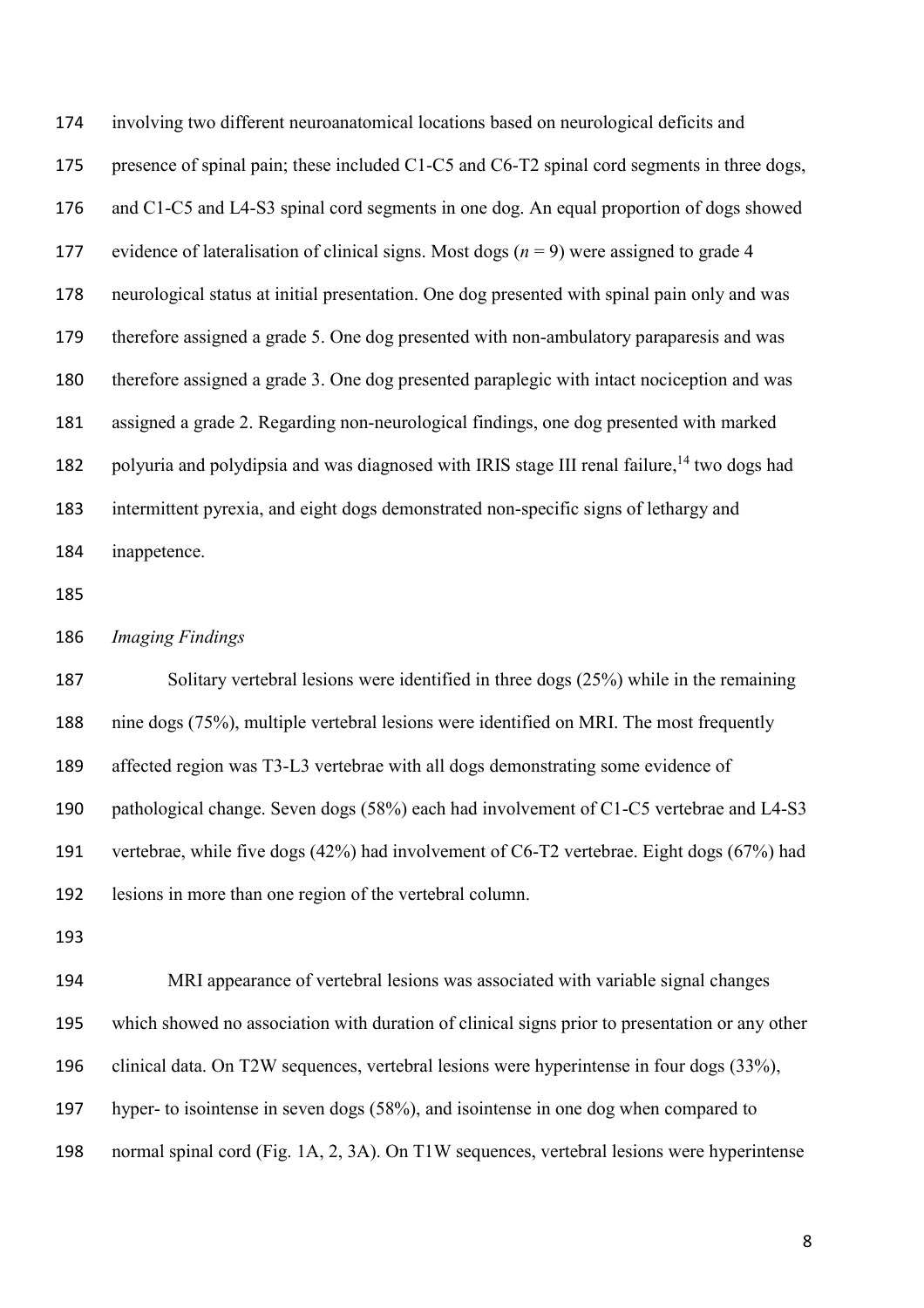involving two different neuroanatomical locations based on neurological deficits and 175 presence of spinal pain; these included C1-C5 and C6-T2 spinal cord segments in three dogs, and C1-C5 and L4-S3 spinal cord segments in one dog. An equal proportion of dogs showed 177 evidence of lateralisation of clinical signs. Most dogs  $(n = 9)$  were assigned to grade 4 neurological status at initial presentation. One dog presented with spinal pain only and was therefore assigned a grade 5. One dog presented with non-ambulatory paraparesis and was therefore assigned a grade 3. One dog presented paraplegic with intact nociception and was assigned a grade 2. Regarding non-neurological findings, one dog presented with marked 182 polyuria and polydipsia and was diagnosed with IRIS stage III renal failure,<sup>14</sup> two dogs had intermittent pyrexia, and eight dogs demonstrated non-specific signs of lethargy and inappetence.

*Imaging Findings*

187 Solitary vertebral lesions were identified in three dogs (25%) while in the remaining nine dogs (75%), multiple vertebral lesions were identified on MRI. The most frequently affected region was T3-L3 vertebrae with all dogs demonstrating some evidence of pathological change. Seven dogs (58%) each had involvement of C1-C5 vertebrae and L4-S3 vertebrae, while five dogs (42%) had involvement of C6-T2 vertebrae. Eight dogs (67%) had lesions in more than one region of the vertebral column.

 MRI appearance of vertebral lesions was associated with variable signal changes which showed no association with duration of clinical signs prior to presentation or any other clinical data. On T2W sequences, vertebral lesions were hyperintense in four dogs (33%), hyper- to isointense in seven dogs (58%), and isointense in one dog when compared to normal spinal cord (Fig. 1A, 2, 3A). On T1W sequences, vertebral lesions were hyperintense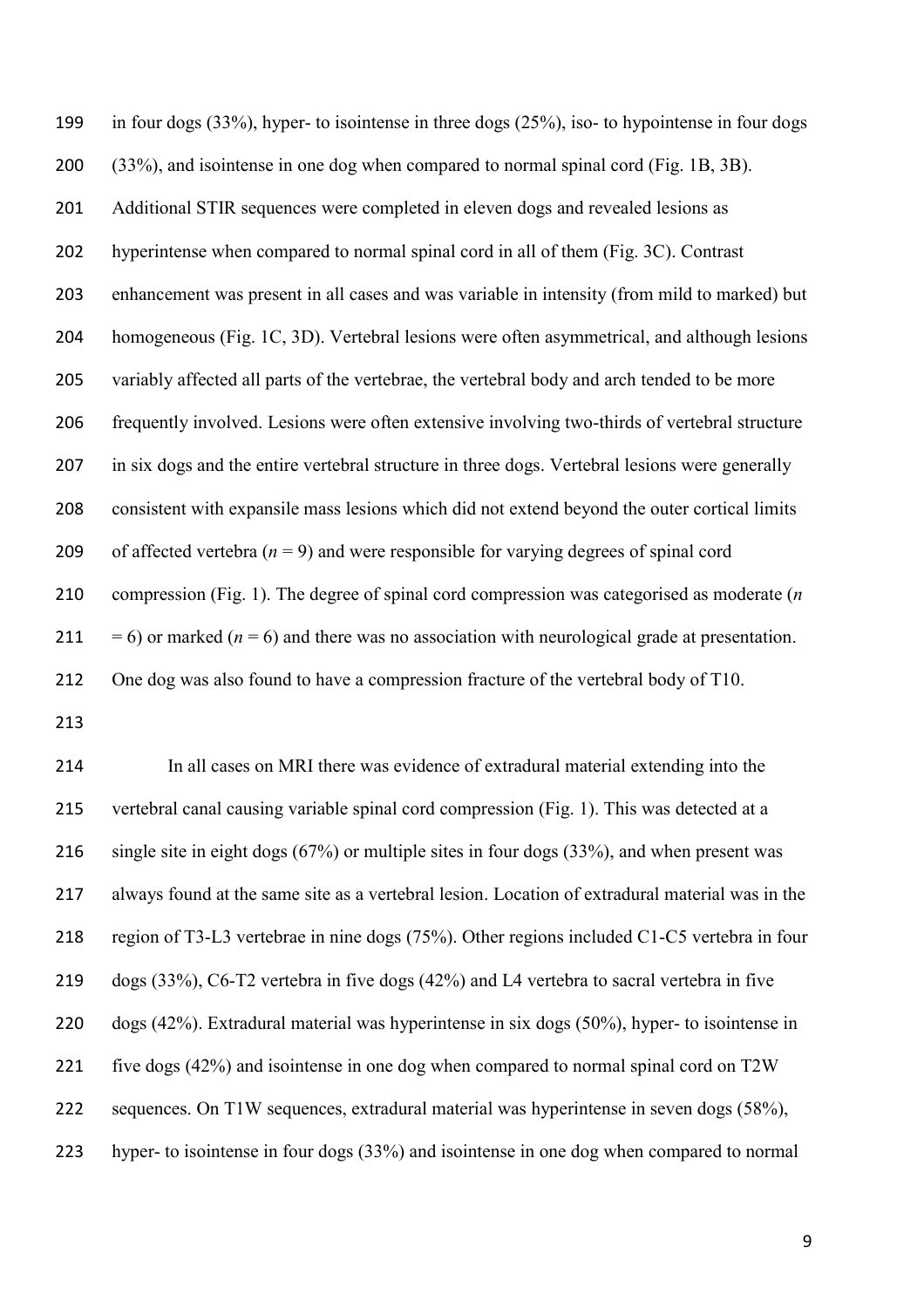in four dogs (33%), hyper- to isointense in three dogs (25%), iso- to hypointense in four dogs (33%), and isointense in one dog when compared to normal spinal cord (Fig. 1B, 3B). Additional STIR sequences were completed in eleven dogs and revealed lesions as hyperintense when compared to normal spinal cord in all of them (Fig. 3C). Contrast enhancement was present in all cases and was variable in intensity (from mild to marked) but homogeneous (Fig. 1C, 3D). Vertebral lesions were often asymmetrical, and although lesions variably affected all parts of the vertebrae, the vertebral body and arch tended to be more frequently involved. Lesions were often extensive involving two-thirds of vertebral structure in six dogs and the entire vertebral structure in three dogs. Vertebral lesions were generally consistent with expansile mass lesions which did not extend beyond the outer cortical limits 209 of affected vertebra  $(n = 9)$  and were responsible for varying degrees of spinal cord compression (Fig. 1). The degree of spinal cord compression was categorised as moderate (*n*  $= 6$ ) or marked ( $n = 6$ ) and there was no association with neurological grade at presentation. One dog was also found to have a compression fracture of the vertebral body of T10.

 In all cases on MRI there was evidence of extradural material extending into the vertebral canal causing variable spinal cord compression (Fig. 1). This was detected at a single site in eight dogs (67%) or multiple sites in four dogs (33%), and when present was always found at the same site as a vertebral lesion. Location of extradural material was in the region of T3-L3 vertebrae in nine dogs (75%). Other regions included C1-C5 vertebra in four dogs (33%), C6-T2 vertebra in five dogs (42%) and L4 vertebra to sacral vertebra in five dogs (42%). Extradural material was hyperintense in six dogs (50%), hyper- to isointense in five dogs (42%) and isointense in one dog when compared to normal spinal cord on T2W sequences. On T1W sequences, extradural material was hyperintense in seven dogs (58%), hyper- to isointense in four dogs (33%) and isointense in one dog when compared to normal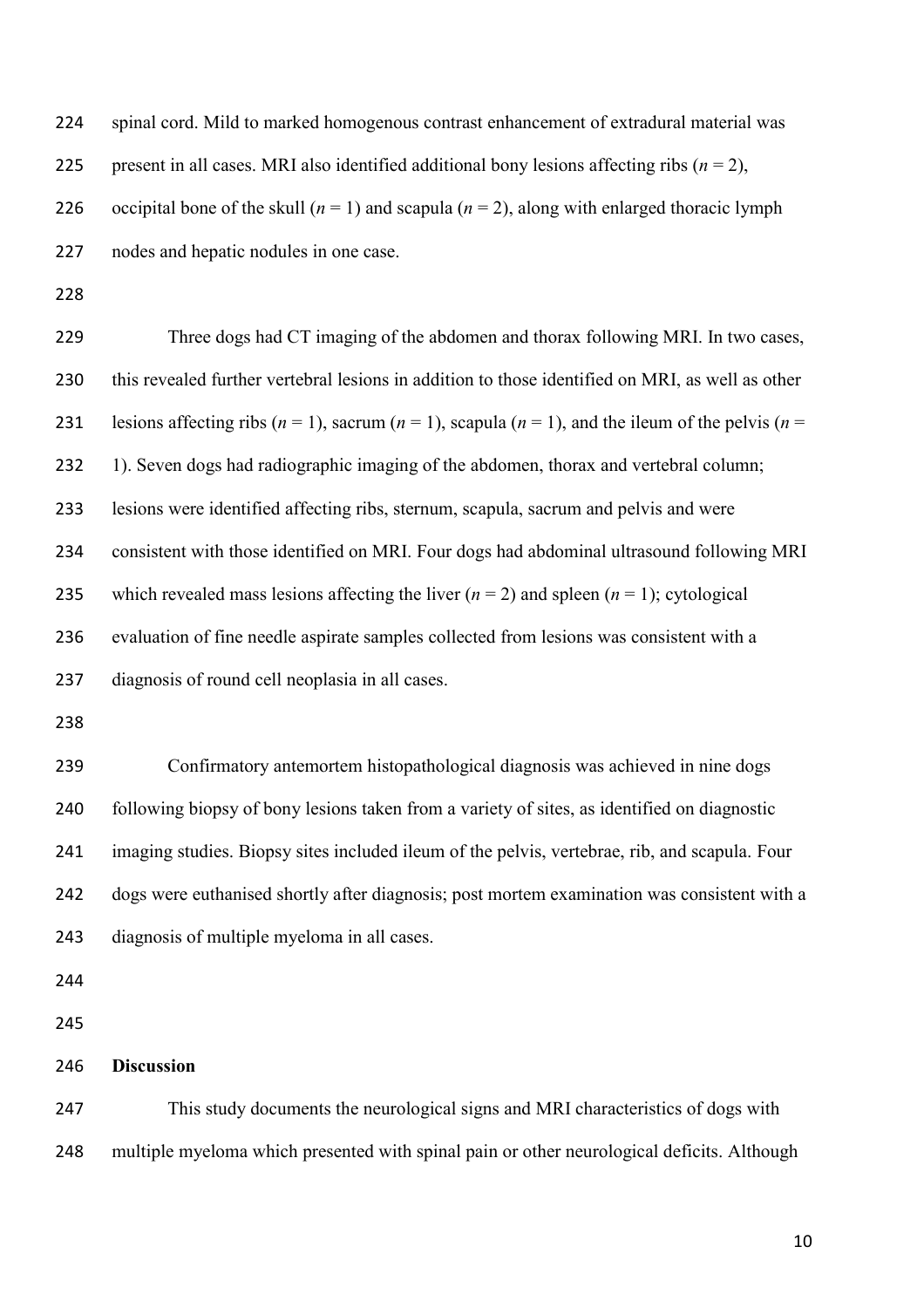| 224 | spinal cord. Mild to marked homogenous contrast enhancement of extradural material was                           |
|-----|------------------------------------------------------------------------------------------------------------------|
| 225 | present in all cases. MRI also identified additional bony lesions affecting ribs ( $n = 2$ ),                    |
| 226 | occipital bone of the skull ( $n = 1$ ) and scapula ( $n = 2$ ), along with enlarged thoracic lymph              |
| 227 | nodes and hepatic nodules in one case.                                                                           |
| 228 |                                                                                                                  |
| 229 | Three dogs had CT imaging of the abdomen and thorax following MRI. In two cases,                                 |
| 230 | this revealed further vertebral lesions in addition to those identified on MRI, as well as other                 |
| 231 | lesions affecting ribs ( $n = 1$ ), sacrum ( $n = 1$ ), scapula ( $n = 1$ ), and the ileum of the pelvis ( $n =$ |
| 232 | 1). Seven dogs had radiographic imaging of the abdomen, thorax and vertebral column;                             |
| 233 | lesions were identified affecting ribs, sternum, scapula, sacrum and pelvis and were                             |
| 234 | consistent with those identified on MRI. Four dogs had abdominal ultrasound following MRI                        |
| 235 | which revealed mass lesions affecting the liver $(n = 2)$ and spleen $(n = 1)$ ; cytological                     |
| 236 | evaluation of fine needle aspirate samples collected from lesions was consistent with a                          |
| 237 | diagnosis of round cell neoplasia in all cases.                                                                  |
| 238 |                                                                                                                  |
| 239 | Confirmatory antemortem histopathological diagnosis was achieved in nine dogs                                    |
| 240 | following biopsy of bony lesions taken from a variety of sites, as identified on diagnostic                      |
| 241 | imaging studies. Biopsy sites included ileum of the pelvis, vertebrae, rib, and scapula. Four                    |
| 242 | dogs were euthanised shortly after diagnosis; post mortem examination was consistent with a                      |
| 243 | diagnosis of multiple myeloma in all cases.                                                                      |
| 244 |                                                                                                                  |
| 245 |                                                                                                                  |
| 246 | <b>Discussion</b>                                                                                                |
| 247 | This study documents the neurological signs and MRI characteristics of dogs with                                 |

multiple myeloma which presented with spinal pain or other neurological deficits. Although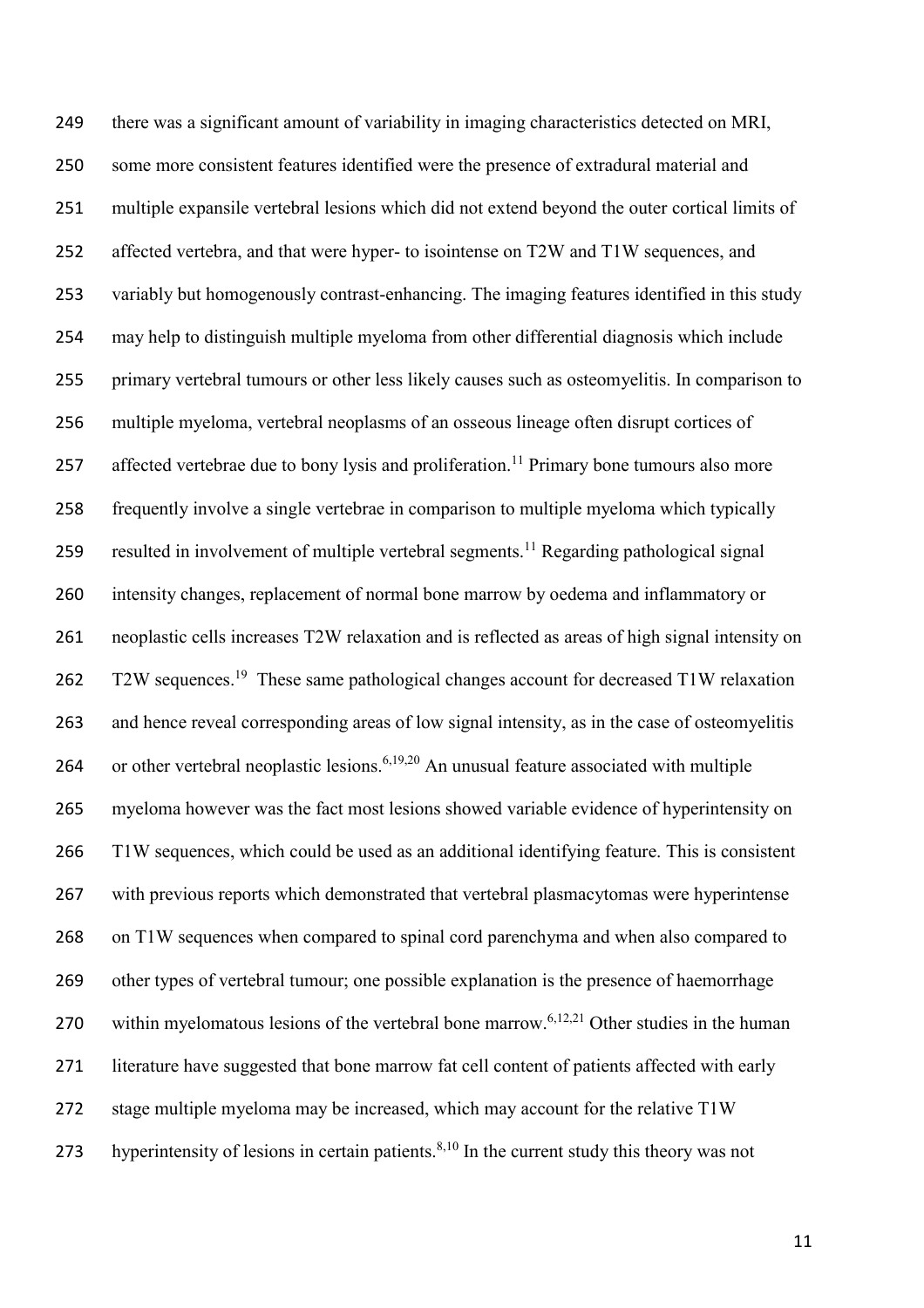there was a significant amount of variability in imaging characteristics detected on MRI, some more consistent features identified were the presence of extradural material and multiple expansile vertebral lesions which did not extend beyond the outer cortical limits of affected vertebra, and that were hyper- to isointense on T2W and T1W sequences, and variably but homogenously contrast-enhancing. The imaging features identified in this study may help to distinguish multiple myeloma from other differential diagnosis which include primary vertebral tumours or other less likely causes such as osteomyelitis. In comparison to multiple myeloma, vertebral neoplasms of an osseous lineage often disrupt cortices of 257 affected vertebrae due to bony lysis and proliferation.<sup>11</sup> Primary bone tumours also more frequently involve a single vertebrae in comparison to multiple myeloma which typically 259 resulted in involvement of multiple vertebral segments.<sup>11</sup> Regarding pathological signal intensity changes, replacement of normal bone marrow by oedema and inflammatory or neoplastic cells increases T2W relaxation and is reflected as areas of high signal intensity on 262 T2W sequences.<sup>19</sup> These same pathological changes account for decreased T1W relaxation and hence reveal corresponding areas of low signal intensity, as in the case of osteomyelitis 264 or other vertebral neoplastic lesions.<sup>6,19,20</sup> An unusual feature associated with multiple myeloma however was the fact most lesions showed variable evidence of hyperintensity on T1W sequences, which could be used as an additional identifying feature. This is consistent with previous reports which demonstrated that vertebral plasmacytomas were hyperintense on T1W sequences when compared to spinal cord parenchyma and when also compared to other types of vertebral tumour; one possible explanation is the presence of haemorrhage 270 within myelomatous lesions of the vertebral bone marrow.<sup>6,12,21</sup> Other studies in the human literature have suggested that bone marrow fat cell content of patients affected with early stage multiple myeloma may be increased, which may account for the relative T1W 273 hyperintensity of lesions in certain patients. $8,10$  In the current study this theory was not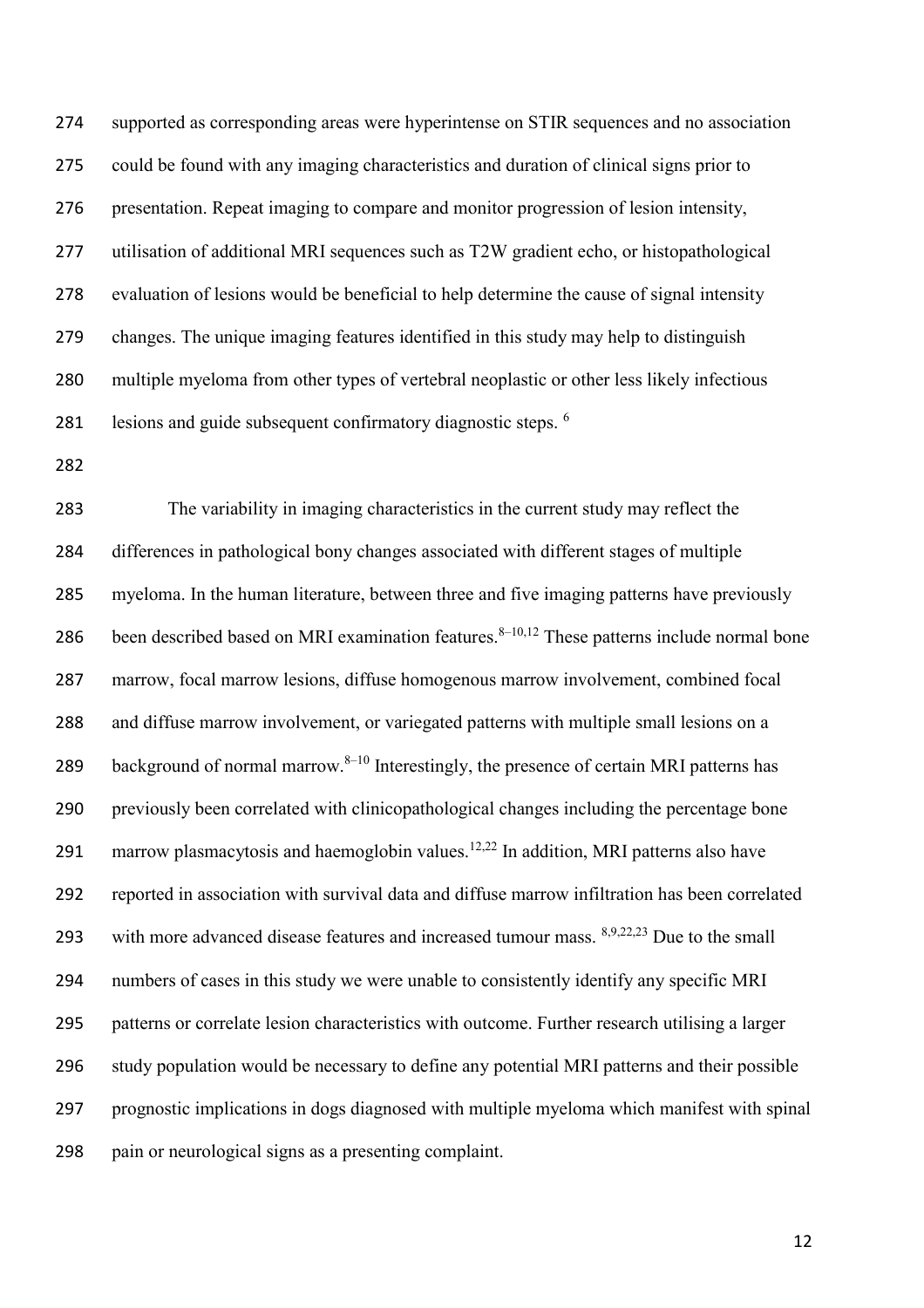supported as corresponding areas were hyperintense on STIR sequences and no association could be found with any imaging characteristics and duration of clinical signs prior to presentation. Repeat imaging to compare and monitor progression of lesion intensity, utilisation of additional MRI sequences such as T2W gradient echo, or histopathological evaluation of lesions would be beneficial to help determine the cause of signal intensity changes. The unique imaging features identified in this study may help to distinguish multiple myeloma from other types of vertebral neoplastic or other less likely infectious 281 lesions and guide subsequent confirmatory diagnostic steps. <sup>6</sup>

 The variability in imaging characteristics in the current study may reflect the differences in pathological bony changes associated with different stages of multiple myeloma. In the human literature, between three and five imaging patterns have previously 286 been described based on MRI examination features.  $8-10,12$  These patterns include normal bone marrow, focal marrow lesions, diffuse homogenous marrow involvement, combined focal and diffuse marrow involvement, or variegated patterns with multiple small lesions on a 289 background of normal marrow. $8-10$  Interestingly, the presence of certain MRI patterns has previously been correlated with clinicopathological changes including the percentage bone 291 marrow plasmacytosis and haemoglobin values.<sup>12,22</sup> In addition, MRI patterns also have reported in association with survival data and diffuse marrow infiltration has been correlated 293 with more advanced disease features and increased tumour mass.  $8,9,22,23$  Due to the small numbers of cases in this study we were unable to consistently identify any specific MRI patterns or correlate lesion characteristics with outcome. Further research utilising a larger study population would be necessary to define any potential MRI patterns and their possible prognostic implications in dogs diagnosed with multiple myeloma which manifest with spinal pain or neurological signs as a presenting complaint.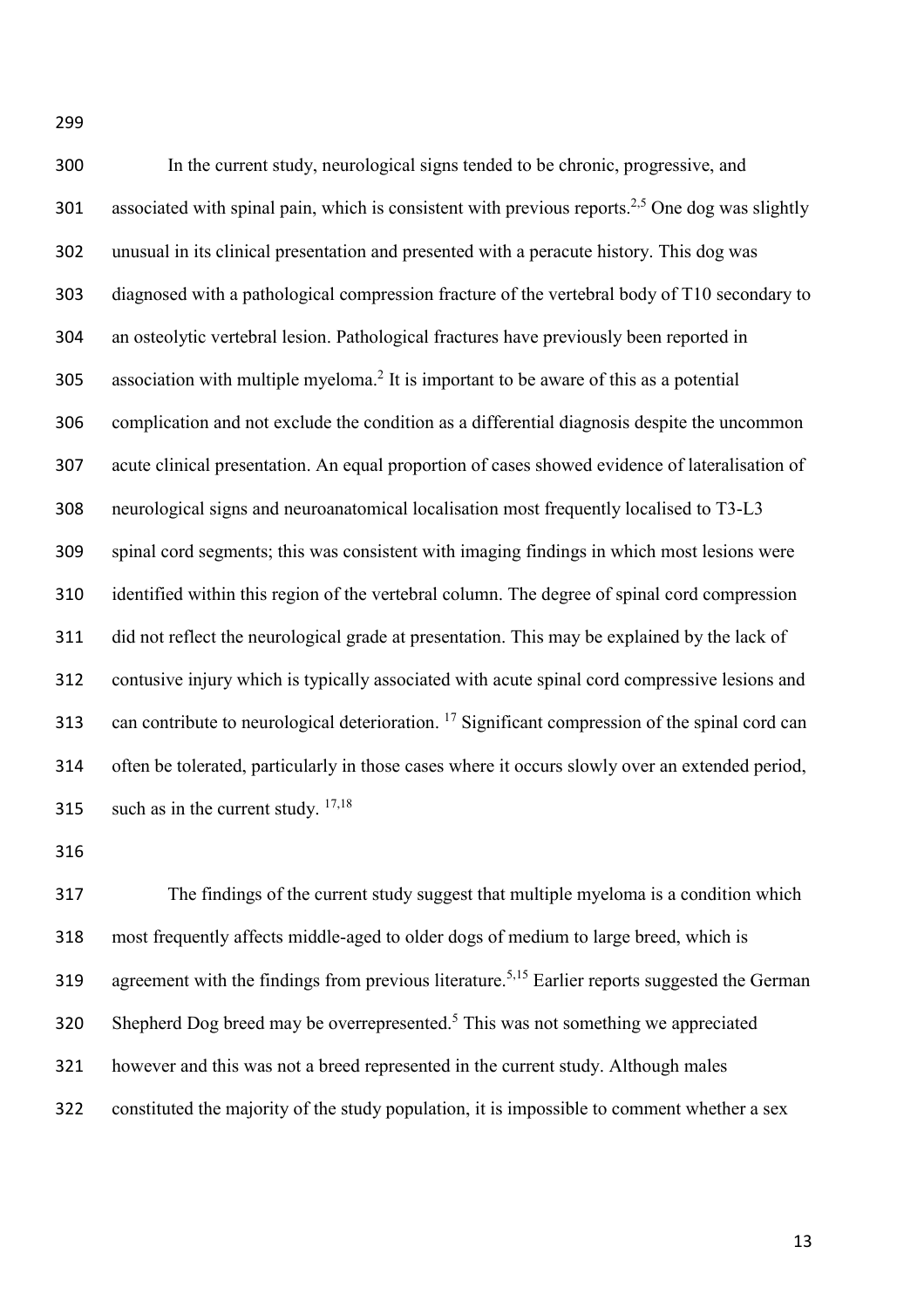In the current study, neurological signs tended to be chronic, progressive, and 301 associated with spinal pain, which is consistent with previous reports.<sup>2,5</sup> One dog was slightly unusual in its clinical presentation and presented with a peracute history. This dog was diagnosed with a pathological compression fracture of the vertebral body of T10 secondary to an osteolytic vertebral lesion. Pathological fractures have previously been reported in 305 association with multiple myeloma.<sup>2</sup> It is important to be aware of this as a potential complication and not exclude the condition as a differential diagnosis despite the uncommon acute clinical presentation. An equal proportion of cases showed evidence of lateralisation of neurological signs and neuroanatomical localisation most frequently localised to T3-L3 spinal cord segments; this was consistent with imaging findings in which most lesions were identified within this region of the vertebral column. The degree of spinal cord compression did not reflect the neurological grade at presentation. This may be explained by the lack of contusive injury which is typically associated with acute spinal cord compressive lesions and 313 can contribute to neurological deterioration. <sup>17</sup> Significant compression of the spinal cord can

 often be tolerated, particularly in those cases where it occurs slowly over an extended period, 315 such as in the current study.  $17,18$ 

 The findings of the current study suggest that multiple myeloma is a condition which most frequently affects middle-aged to older dogs of medium to large breed, which is 319 agreement with the findings from previous literature.<sup>5,15</sup> Earlier reports suggested the German Shepherd Dog breed may be overrepresented.<sup>5</sup> This was not something we appreciated however and this was not a breed represented in the current study. Although males constituted the majority of the study population, it is impossible to comment whether a sex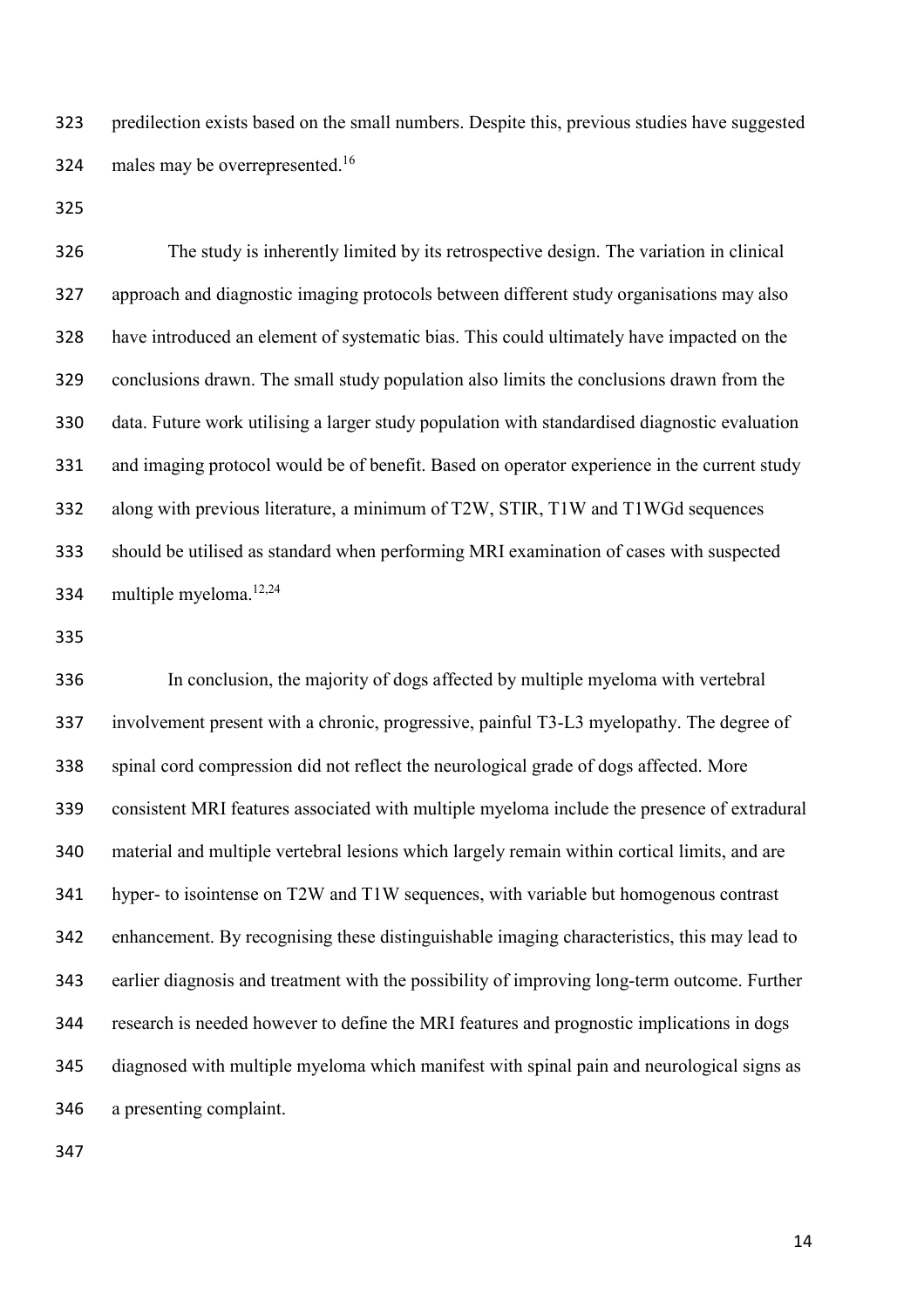predilection exists based on the small numbers. Despite this, previous studies have suggested 324 males may be overrepresented.<sup>16</sup>

 The study is inherently limited by its retrospective design. The variation in clinical approach and diagnostic imaging protocols between different study organisations may also have introduced an element of systematic bias. This could ultimately have impacted on the conclusions drawn. The small study population also limits the conclusions drawn from the data. Future work utilising a larger study population with standardised diagnostic evaluation and imaging protocol would be of benefit. Based on operator experience in the current study along with previous literature, a minimum of T2W, STIR, T1W and T1WGd sequences should be utilised as standard when performing MRI examination of cases with suspected 334 multiple myeloma. $12,24$ 

 In conclusion, the majority of dogs affected by multiple myeloma with vertebral involvement present with a chronic, progressive, painful T3-L3 myelopathy. The degree of spinal cord compression did not reflect the neurological grade of dogs affected. More consistent MRI features associated with multiple myeloma include the presence of extradural material and multiple vertebral lesions which largely remain within cortical limits, and are hyper- to isointense on T2W and T1W sequences, with variable but homogenous contrast enhancement. By recognising these distinguishable imaging characteristics, this may lead to earlier diagnosis and treatment with the possibility of improving long-term outcome. Further research is needed however to define the MRI features and prognostic implications in dogs diagnosed with multiple myeloma which manifest with spinal pain and neurological signs as a presenting complaint.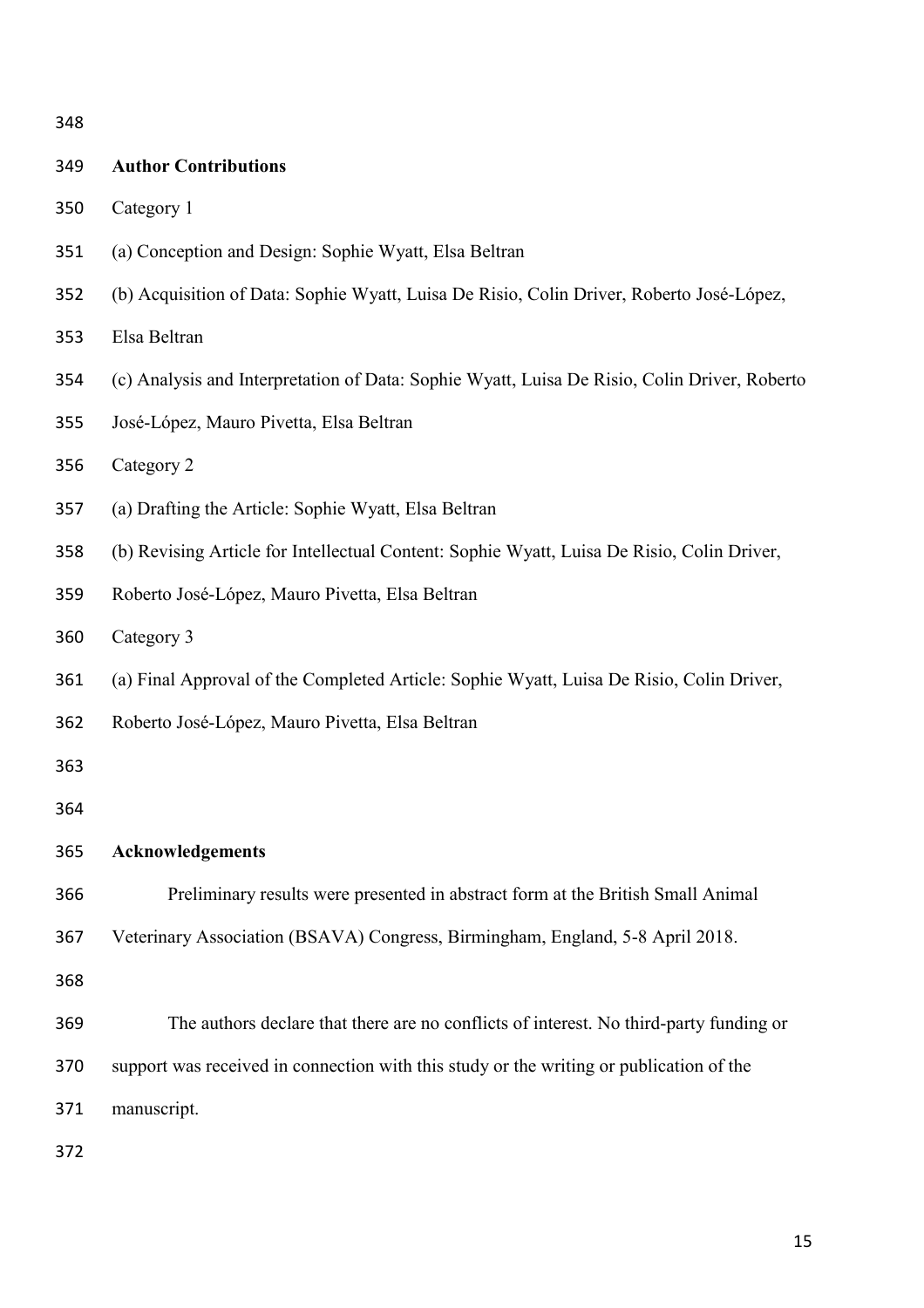| 349 | <b>Author Contributions</b>                                                                  |
|-----|----------------------------------------------------------------------------------------------|
| 350 | Category 1                                                                                   |
| 351 | (a) Conception and Design: Sophie Wyatt, Elsa Beltran                                        |
| 352 | (b) Acquisition of Data: Sophie Wyatt, Luisa De Risio, Colin Driver, Roberto José-López,     |
| 353 | Elsa Beltran                                                                                 |
| 354 | (c) Analysis and Interpretation of Data: Sophie Wyatt, Luisa De Risio, Colin Driver, Roberto |
| 355 | José-López, Mauro Pivetta, Elsa Beltran                                                      |
| 356 | Category 2                                                                                   |
| 357 | (a) Drafting the Article: Sophie Wyatt, Elsa Beltran                                         |
| 358 | (b) Revising Article for Intellectual Content: Sophie Wyatt, Luisa De Risio, Colin Driver,   |
| 359 | Roberto José-López, Mauro Pivetta, Elsa Beltran                                              |
| 360 | Category 3                                                                                   |
| 361 | (a) Final Approval of the Completed Article: Sophie Wyatt, Luisa De Risio, Colin Driver,     |
| 362 | Roberto José-López, Mauro Pivetta, Elsa Beltran                                              |
| 363 |                                                                                              |
| 364 |                                                                                              |
| 365 | <b>Acknowledgements</b>                                                                      |
| 366 | Preliminary results were presented in abstract form at the British Small Animal              |
| 367 | Veterinary Association (BSAVA) Congress, Birmingham, England, 5-8 April 2018.                |
| 368 |                                                                                              |
| 369 | The authors declare that there are no conflicts of interest. No third-party funding or       |
| 370 | support was received in connection with this study or the writing or publication of the      |
| 371 | manuscript.                                                                                  |
| 372 |                                                                                              |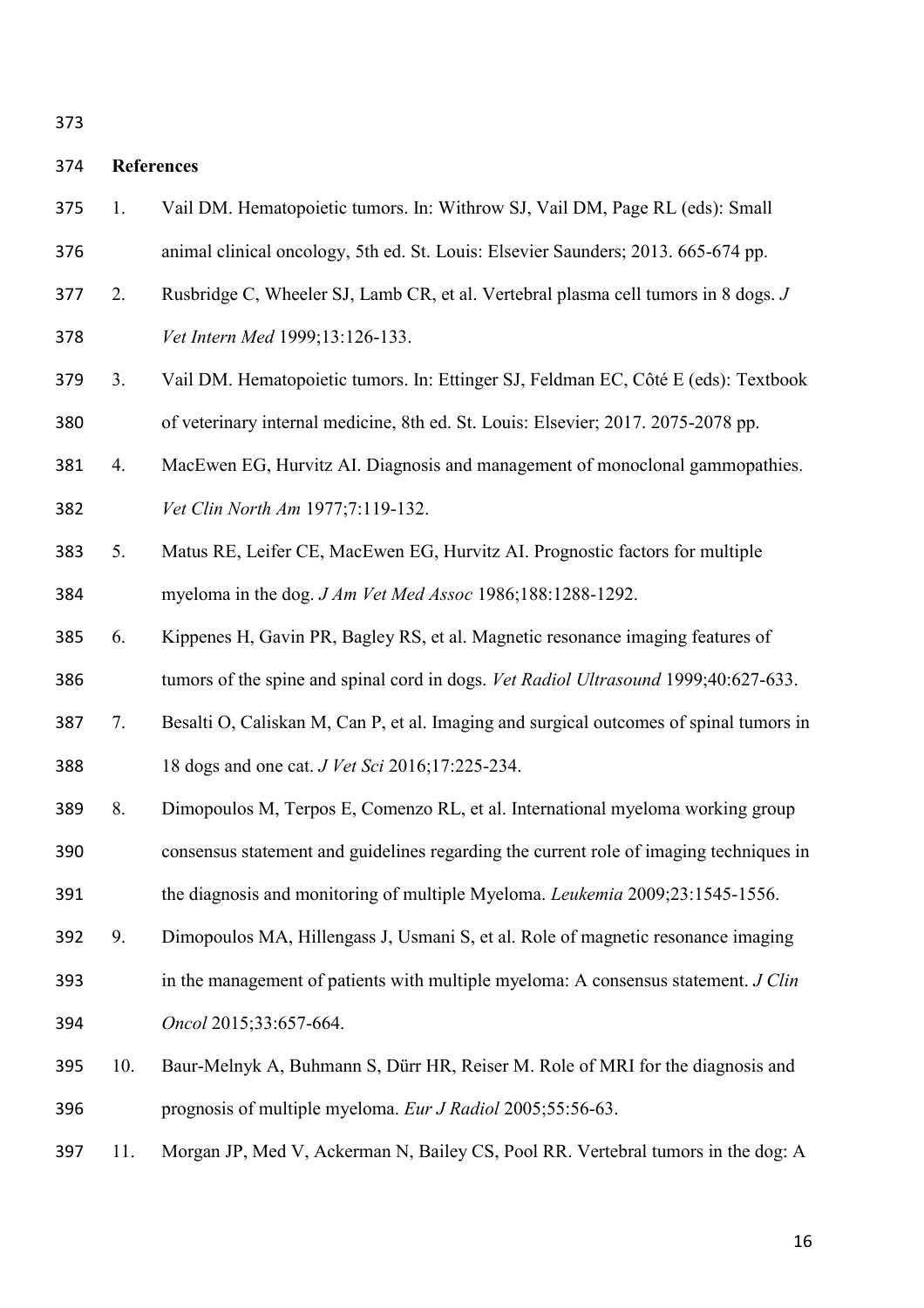# **References**

- 1. Vail DM. Hematopoietic tumors. In: Withrow SJ, Vail DM, Page RL (eds): Small animal clinical oncology, 5th ed. St. Louis: Elsevier Saunders; 2013. 665-674 pp. 2. Rusbridge C, Wheeler SJ, Lamb CR, et al. Vertebral plasma cell tumors in 8 dogs. *J*
- *Vet Intern Med* 1999;13:126-133.
- 3. Vail DM. Hematopoietic tumors. In: Ettinger SJ, Feldman EC, Côté E (eds): Textbook of veterinary internal medicine, 8th ed. St. Louis: Elsevier; 2017. 2075-2078 pp.
- 4. MacEwen EG, Hurvitz AI. Diagnosis and management of monoclonal gammopathies. *Vet Clin North Am* 1977;7:119-132.
- 5. Matus RE, Leifer CE, MacEwen EG, Hurvitz AI. Prognostic factors for multiple myeloma in the dog. *J Am Vet Med Assoc* 1986;188:1288-1292.
- 6. Kippenes H, Gavin PR, Bagley RS, et al. Magnetic resonance imaging features of

tumors of the spine and spinal cord in dogs. *Vet Radiol Ultrasound* 1999;40:627-633.

- 7. Besalti O, Caliskan M, Can P, et al. Imaging and surgical outcomes of spinal tumors in 18 dogs and one cat. *J Vet Sci* 2016;17:225-234.
- 8. Dimopoulos M, Terpos E, Comenzo RL, et al. International myeloma working group

consensus statement and guidelines regarding the current role of imaging techniques in

the diagnosis and monitoring of multiple Myeloma. *Leukemia* 2009;23:1545-1556.

9. Dimopoulos MA, Hillengass J, Usmani S, et al. Role of magnetic resonance imaging

- in the management of patients with multiple myeloma: A consensus statement. *J Clin Oncol* 2015;33:657-664.
- 
- 10. Baur-Melnyk A, Buhmann S, Dürr HR, Reiser M. Role of MRI for the diagnosis and prognosis of multiple myeloma. *Eur J Radiol* 2005;55:56-63.
- 11. Morgan JP, Med V, Ackerman N, Bailey CS, Pool RR. Vertebral tumors in the dog: A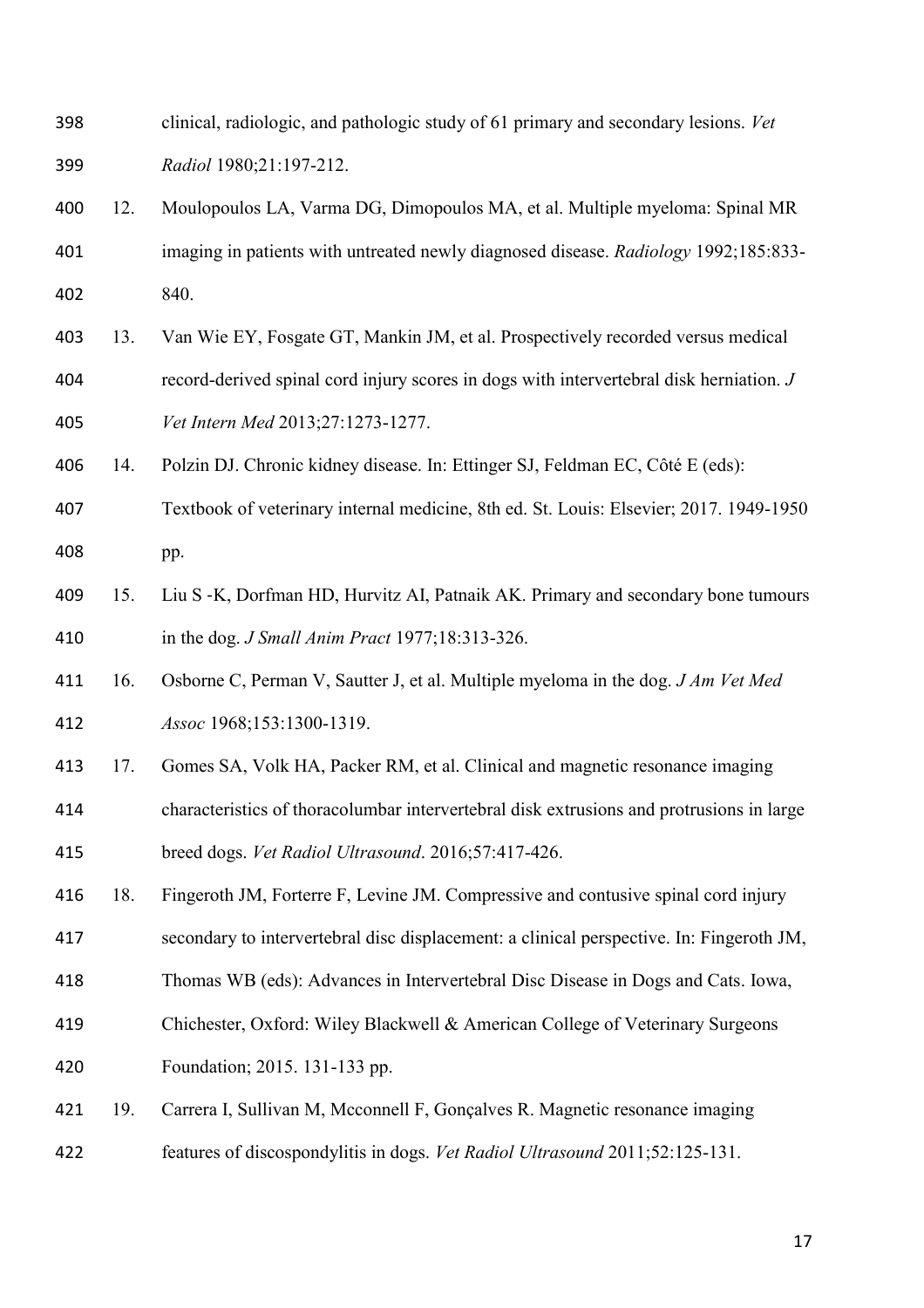| 398 |     | clinical, radiologic, and pathologic study of 61 primary and secondary lesions. Vet      |
|-----|-----|------------------------------------------------------------------------------------------|
| 399 |     | Radiol 1980;21:197-212.                                                                  |
| 400 | 12. | Moulopoulos LA, Varma DG, Dimopoulos MA, et al. Multiple myeloma: Spinal MR              |
| 401 |     | imaging in patients with untreated newly diagnosed disease. Radiology 1992;185:833-      |
| 402 |     | 840.                                                                                     |
| 403 | 13. | Van Wie EY, Fosgate GT, Mankin JM, et al. Prospectively recorded versus medical          |
| 404 |     | record-derived spinal cord injury scores in dogs with intervertebral disk herniation. J  |
| 405 |     | Vet Intern Med 2013;27:1273-1277.                                                        |
| 406 | 14. | Polzin DJ. Chronic kidney disease. In: Ettinger SJ, Feldman EC, Côté E (eds):            |
| 407 |     | Textbook of veterinary internal medicine, 8th ed. St. Louis: Elsevier; 2017. 1949-1950   |
| 408 |     | pp.                                                                                      |
| 409 | 15. | Liu S -K, Dorfman HD, Hurvitz AI, Patnaik AK. Primary and secondary bone tumours         |
| 410 |     | in the dog. <i>J Small Anim Pract</i> 1977;18:313-326.                                   |
| 411 | 16. | Osborne C, Perman V, Sautter J, et al. Multiple myeloma in the dog. J Am Vet Med         |
| 412 |     | Assoc 1968;153:1300-1319.                                                                |
| 413 | 17. | Gomes SA, Volk HA, Packer RM, et al. Clinical and magnetic resonance imaging             |
| 414 |     | characteristics of thoracolumbar intervertebral disk extrusions and protrusions in large |
| 415 |     | breed dogs. Vet Radiol Ultrasound. 2016;57:417-426.                                      |
| 416 | 18. | Fingeroth JM, Forterre F, Levine JM. Compressive and contusive spinal cord injury        |
| 417 |     | secondary to intervertebral disc displacement: a clinical perspective. In: Fingeroth JM, |
| 418 |     | Thomas WB (eds): Advances in Intervertebral Disc Disease in Dogs and Cats. Iowa,         |
| 419 |     | Chichester, Oxford: Wiley Blackwell & American College of Veterinary Surgeons            |
| 420 |     | Foundation; 2015. 131-133 pp.                                                            |
| 421 | 19. | Carrera I, Sullivan M, Mcconnell F, Gonçalves R. Magnetic resonance imaging              |
| 422 |     | features of discospondylitis in dogs. Vet Radiol Ultrasound 2011;52:125-131.             |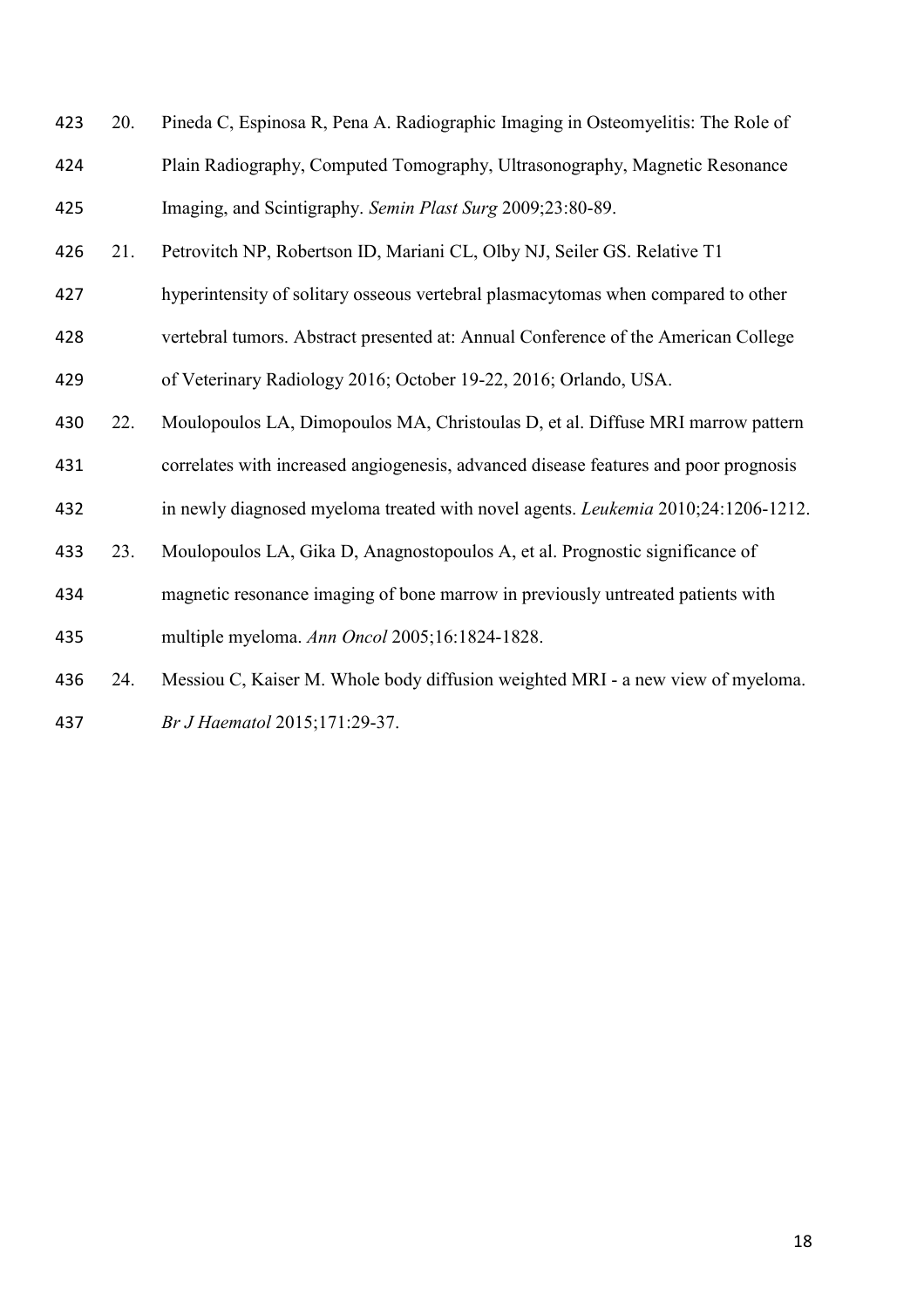| 423 | 20. | Pineda C, Espinosa R, Pena A. Radiographic Imaging in Osteomyelitis: The Role of         |
|-----|-----|------------------------------------------------------------------------------------------|
| 424 |     | Plain Radiography, Computed Tomography, Ultrasonography, Magnetic Resonance              |
| 425 |     | Imaging, and Scintigraphy. Semin Plast Surg 2009;23:80-89.                               |
| 426 | 21. | Petrovitch NP, Robertson ID, Mariani CL, Olby NJ, Seiler GS. Relative T1                 |
| 427 |     | hyperintensity of solitary osseous vertebral plasmacytomas when compared to other        |
| 428 |     | vertebral tumors. Abstract presented at: Annual Conference of the American College       |
| 429 |     | of Veterinary Radiology 2016; October 19-22, 2016; Orlando, USA.                         |
| 430 | 22. | Moulopoulos LA, Dimopoulos MA, Christoulas D, et al. Diffuse MRI marrow pattern          |
| 431 |     | correlates with increased angiogenesis, advanced disease features and poor prognosis     |
| 432 |     | in newly diagnosed myeloma treated with novel agents. <i>Leukemia</i> 2010;24:1206-1212. |
| 433 | 23. | Moulopoulos LA, Gika D, Anagnostopoulos A, et al. Prognostic significance of             |
| 434 |     | magnetic resonance imaging of bone marrow in previously untreated patients with          |
| 435 |     | multiple myeloma. Ann Oncol 2005;16:1824-1828.                                           |
| 436 | 24. | Messiou C, Kaiser M. Whole body diffusion weighted MRI - a new view of myeloma.          |

*Br J Haematol* 2015;171:29-37.